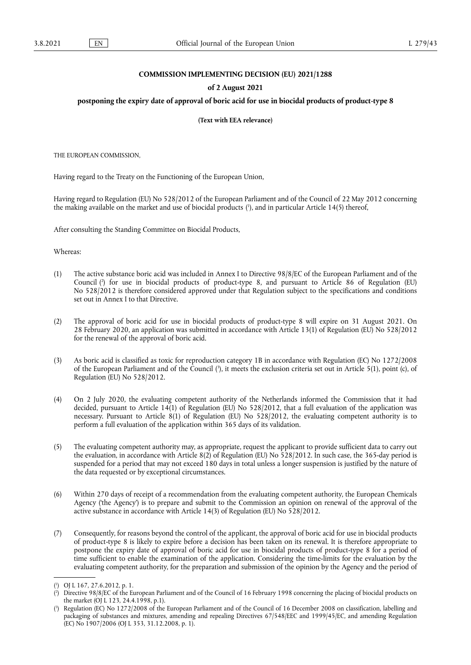# **COMMISSION IMPLEMENTING DECISION (EU) 2021/1288**

#### **of 2 August 2021**

### postponing the expiry date of approval of boric acid for use in biocidal products of product-type 8

**(Text with EEA relevance)** 

THE EUROPEAN COMMISSION,

Having regard to the Treaty on the Functioning of the European Union,

<span id="page-0-3"></span>Having regard to Regulation (EU) No 528/2012 of the European Parliament and of the Council of 22 May 2012 concerning the making available on the market and use of biocidal products [\(](#page-0-0) 1 ), and in particular Article 14(5) thereof,

After consulting the Standing Committee on Biocidal Products,

Whereas:

- <span id="page-0-4"></span>(1) The active substance boric acid was included in Annex I to Directive 98/8/EC of the European Parliament and of the Council [\(](#page-0-1) 2 ) for use in biocidal products of product-type 8, and pursuant to Article 86 of Regulation (EU) No 528/2012 is therefore considered approved under that Regulation subject to the specifications and conditions set out in Annex I to that Directive.
- (2) The approval of boric acid for use in biocidal products of product-type 8 will expire on 31 August 2021. On 28 February 2020, an application was submitted in accordance with Article 13(1) of Regulation (EU) No 528/2012 for the renewal of the approval of boric acid.
- <span id="page-0-5"></span>(3) As boric acid is classified as toxic for reproduction category 1B in accordance with Regulation (EC) No 1272/2008 of the European Parliament and of the Council (?[\),](#page-0-2) it meets the exclusion criteria set out in Article 5(1), point (c), of Regulation (EU) No 528/2012.
- (4) On 2 July 2020, the evaluating competent authority of the Netherlands informed the Commission that it had decided, pursuant to Article 14(1) of Regulation (EU) No 528/2012, that a full evaluation of the application was necessary. Pursuant to Article 8(1) of Regulation (EU) No 528/2012, the evaluating competent authority is to perform a full evaluation of the application within 365 days of its validation.
- (5) The evaluating competent authority may, as appropriate, request the applicant to provide sufficient data to carry out the evaluation, in accordance with Article 8(2) of Regulation (EU) No 528/2012. In such case, the 365-day period is suspended for a period that may not exceed 180 days in total unless a longer suspension is justified by the nature of the data requested or by exceptional circumstances.
- (6) Within 270 days of receipt of a recommendation from the evaluating competent authority, the European Chemicals Agency ('the Agency') is to prepare and submit to the Commission an opinion on renewal of the approval of the active substance in accordance with Article 14(3) of Regulation (EU) No 528/2012.
- (7) Consequently, for reasons beyond the control of the applicant, the approval of boric acid for use in biocidal products of product-type 8 is likely to expire before a decision has been taken on its renewal. It is therefore appropriate to postpone the expiry date of approval of boric acid for use in biocidal products of product-type 8 for a period of time sufficient to enable the examination of the application. Considering the time-limits for the evaluation by the evaluating competent authority, for the preparation and submission of the opinion by the Agency and the period of

<span id="page-0-0"></span>[<sup>\(</sup>](#page-0-3) 1 ) OJ L 167, 27.6.2012, p. 1.

<span id="page-0-1"></span>[<sup>\(</sup>](#page-0-4) 2 ) Directive 98/8/EC of the European Parliament and of the Council of 16 February 1998 concerning the placing of biocidal products on the market (OJ L 123, 24.4.1998, p.1).

<span id="page-0-2"></span>[<sup>\(</sup>](#page-0-5) 3 ) Regulation (EC) No 1272/2008 of the European Parliament and of the Council of 16 December 2008 on classification, labelling and packaging of substances and mixtures, amending and repealing Directives 67/548/EEC and 1999/45/EC, and amending Regulation (EC) No 1907/2006 (OJ L 353, 31.12.2008, p. 1).